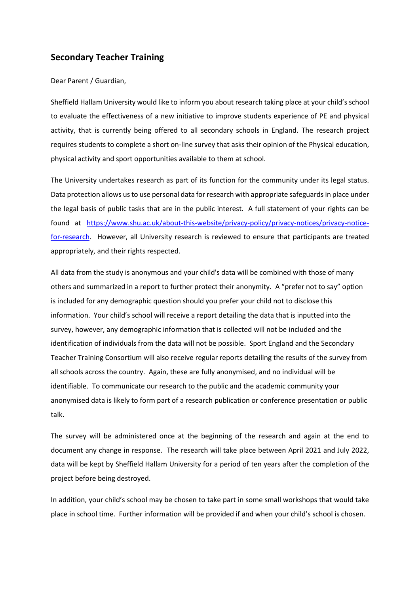# **Secondary Teacher Training**

#### Dear Parent / Guardian,

Sheffield Hallam University would like to inform you about research taking place at your child's school to evaluate the effectiveness of a new initiative to improve students experience of PE and physical activity, that is currently being offered to all secondary schools in England. The research project requires students to complete a short on-line survey that asks their opinion of the Physical education, physical activity and sport opportunities available to them at school.

The University undertakes research as part of its function for the community under its legal status. Data protection allows us to use personal data for research with appropriate safeguards in place under the legal basis of public tasks that are in the public interest. A full statement of your rights can be found at [https://www.shu.ac.uk/about-this-website/privacy-policy/privacy-notices/privacy-notice](https://www.shu.ac.uk/about-this-website/privacy-policy/privacy-notices/privacy-notice-for-research)[for-research.](https://www.shu.ac.uk/about-this-website/privacy-policy/privacy-notices/privacy-notice-for-research) However, all University research is reviewed to ensure that participants are treated appropriately, and their rights respected.

All data from the study is anonymous and your child's data will be combined with those of many others and summarized in a report to further protect their anonymity. A "prefer not to say" option is included for any demographic question should you prefer your child not to disclose this information. Your child's school will receive a report detailing the data that is inputted into the survey, however, any demographic information that is collected will not be included and the identification of individuals from the data will not be possible. Sport England and the Secondary Teacher Training Consortium will also receive regular reports detailing the results of the survey from all schools across the country. Again, these are fully anonymised, and no individual will be identifiable. To communicate our research to the public and the academic community your anonymised data is likely to form part of a research publication or conference presentation or public talk.

The survey will be administered once at the beginning of the research and again at the end to document any change in response. The research will take place between April 2021 and July 2022, data will be kept by Sheffield Hallam University for a period of ten years after the completion of the project before being destroyed.

In addition, your child's school may be chosen to take part in some small workshops that would take place in school time. Further information will be provided if and when your child's school is chosen.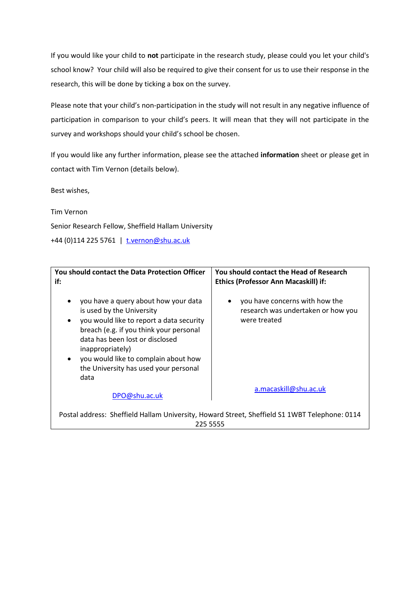If you would like your child to **not** participate in the research study, please could you let your child's school know? Your child will also be required to give their consent for us to use their response in the research, this will be done by ticking a box on the survey.

Please note that your child's non-participation in the study will not result in any negative influence of participation in comparison to your child's peers. It will mean that they will not participate in the survey and workshops should your child's school be chosen.

If you would like any further information, please see the attached **information** sheet or please get in contact with Tim Vernon (details below).

Best wishes,

Tim Vernon

Senior Research Fellow, Sheffield Hallam University

+44 (0)114 225 5761 | [t.vernon@shu.ac.uk](mailto:t.vernon@shu.ac.uk)

| <b>You should contact the Data Protection Officer</b><br>if:                                                                                                                                                                                                                                                                                    | You should contact the Head of Research<br><b>Ethics (Professor Ann Macaskill) if:</b>    |
|-------------------------------------------------------------------------------------------------------------------------------------------------------------------------------------------------------------------------------------------------------------------------------------------------------------------------------------------------|-------------------------------------------------------------------------------------------|
| you have a query about how your data<br>$\bullet$<br>is used by the University<br>you would like to report a data security<br>$\bullet$<br>breach (e.g. if you think your personal<br>data has been lost or disclosed<br>inappropriately)<br>you would like to complain about how<br>$\bullet$<br>the University has used your personal<br>data | you have concerns with how the<br>٠<br>research was undertaken or how you<br>were treated |
| DPO@shu.ac.uk                                                                                                                                                                                                                                                                                                                                   | a.macaskill@shu.ac.uk                                                                     |
| Postal address: Sheffield Hallam University, Howard Street, Sheffield S1 1WBT Telephone: 0114<br>225 5555                                                                                                                                                                                                                                       |                                                                                           |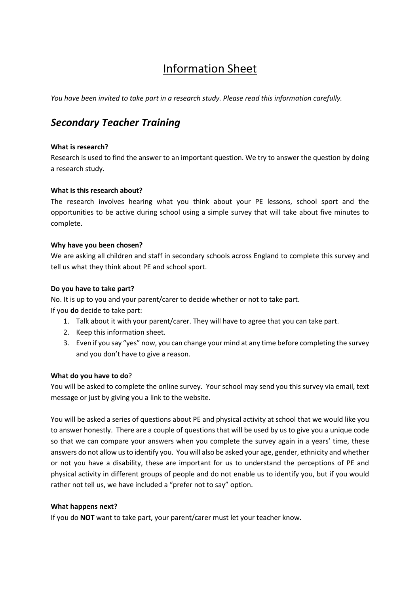# Information Sheet

*You have been invited to take part in a research study. Please read this information carefully.* 

# *Secondary Teacher Training*

# **What is research?**

Research is used to find the answer to an important question. We try to answer the question by doing a research study.

# **What is this research about?**

The research involves hearing what you think about your PE lessons, school sport and the opportunities to be active during school using a simple survey that will take about five minutes to complete.

#### **Why have you been chosen?**

We are asking all children and staff in secondary schools across England to complete this survey and tell us what they think about PE and school sport.

#### **Do you have to take part?**

No. It is up to you and your parent/carer to decide whether or not to take part.

If you **do** decide to take part:

- 1. Talk about it with your parent/carer. They will have to agree that you can take part.
- 2. Keep this information sheet.
- 3. Even if you say "yes" now, you can change your mind at any time before completing the survey and you don't have to give a reason.

# **What do you have to do**?

You will be asked to complete the online survey. Your school may send you this survey via email, text message or just by giving you a link to the website.

You will be asked a series of questions about PE and physical activity at school that we would like you to answer honestly. There are a couple of questions that will be used by us to give you a unique code so that we can compare your answers when you complete the survey again in a years' time, these answers do not allow us to identify you. You will also be asked your age, gender, ethnicity and whether or not you have a disability, these are important for us to understand the perceptions of PE and physical activity in different groups of people and do not enable us to identify you, but if you would rather not tell us, we have included a "prefer not to say" option.

# **What happens next?**

If you do **NOT** want to take part, your parent/carer must let your teacher know.